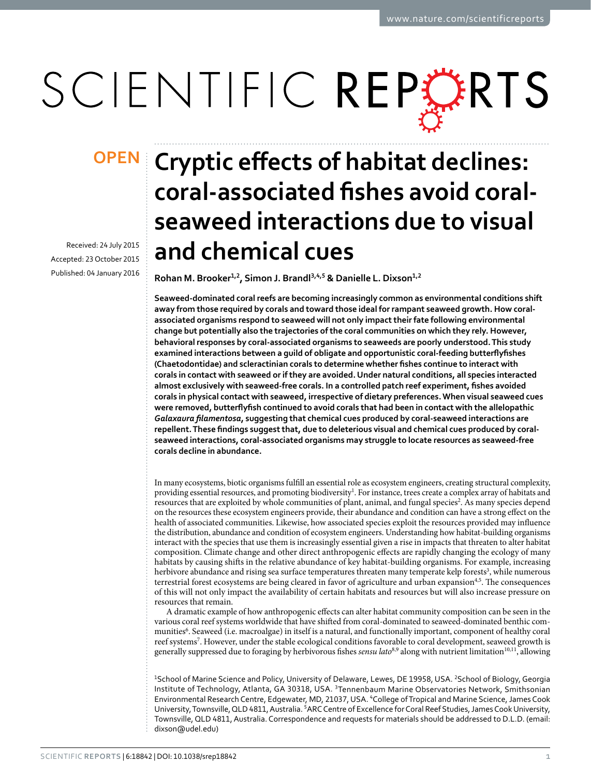# SCIENTIFIC REPERTS

Received: 24 July 2015 accepted: 23 October 2015 Published: 04 January 2016

## **Cryptic effects of habitat declines: OPENcoral-associated fishes avoid coralseaweed interactions due to visual and chemical cues**

**Rohan M. Brooker1,2, Simon J. Brandl3,4,5 & Danielle L. Dixson1,<sup>2</sup>**

**Seaweed-dominated coral reefs are becoming increasingly common as environmental conditions shift away from those required by corals and toward those ideal for rampant seaweed growth. How coralassociated organisms respond to seaweed will not only impact their fate following environmental change but potentially also the trajectories of the coral communities on which they rely. However, behavioral responses by coral-associated organisms to seaweeds are poorly understood. This study examined interactions between a guild of obligate and opportunistic coral-feeding butterflyfishes (Chaetodontidae) and scleractinian corals to determine whether fishes continue to interact with corals in contact with seaweed or if they are avoided. Under natural conditions, all species interacted almost exclusively with seaweed-free corals. In a controlled patch reef experiment, fishes avoided corals in physical contact with seaweed, irrespective of dietary preferences. When visual seaweed cues were removed, butterflyfish continued to avoid corals that had been in contact with the allelopathic**  *Galaxaura filamentosa***, suggesting that chemical cues produced by coral-seaweed interactions are repellent. These findings suggest that, due to deleterious visual and chemical cues produced by coralseaweed interactions, coral-associated organisms may struggle to locate resources as seaweed-free corals decline in abundance.**

In many ecosystems, biotic organisms fulfill an essential role as ecosystem engineers, creating structural complexity, providing essential resources, and promoting biodiversity<sup>1</sup>. For instance, trees create a complex array of habitats and resources that are exploited by whole communities of plant, animal, and fungal species<sup>2</sup>. As many species depend on the resources these ecosystem engineers provide, their abundance and condition can have a strong effect on the health of associated communities. Likewise, how associated species exploit the resources provided may influence the distribution, abundance and condition of ecosystem engineers. Understanding how habitat-building organisms interact with the species that use them is increasingly essential given a rise in impacts that threaten to alter habitat composition. Climate change and other direct anthropogenic effects are rapidly changing the ecology of many habitats by causing shifts in the relative abundance of key habitat-building organisms. For example, increasing herbivore abundance and rising sea surface temperatures threaten many temperate kelp forests<sup>3</sup>, while numerous terrestrial forest ecosystems are being cleared in favor of agriculture and urban expansio[n4](#page-5-3)[,5](#page-5-4). The consequences of this will not only impact the availability of certain habitats and resources but will also increase pressure on resources that remain.

A dramatic example of how anthropogenic effects can alter habitat community composition can be seen in the various coral reef systems worldwide that have shifted from coral-dominated to seaweed-dominated benthic communities<sup>6</sup>. Seaweed (i.e. macroalgae) in itself is a natural, and functionally important, component of healthy coral reef systems<sup>[7](#page-5-6)</sup>. However, under the stable ecological conditions favorable to coral development, seaweed growth is generally suppressed due to foraging by herbivorous fishes *sensu lato*<sup>[8,](#page-5-7)9</sup> along with nutrient limitation<sup>10,11</sup>, allowing

<sup>1</sup>School of Marine Science and Policy, University of Delaware, Lewes, DE 19958, USA. <sup>2</sup>School of Biology, Georgia Institute of Technology, Atlanta, GA 30318, USA. 3Tennenbaum Marine Observatories Network, Smithsonian Environmental Research Centre, Edgewater, MD, 21037, USA. 'College of Tropical and Marine Science, James Cook University, Townsville, QLD 4811, Australia. <sup>5</sup>ARC Centre of Excellence for Coral Reef Studies, James Cook University, Townsville, QLD 4811, Australia. Correspondence and requests for materials should be addressed to D.L.D. (email: [dixson@udel.edu\)](mailto:dixson@udel.edu)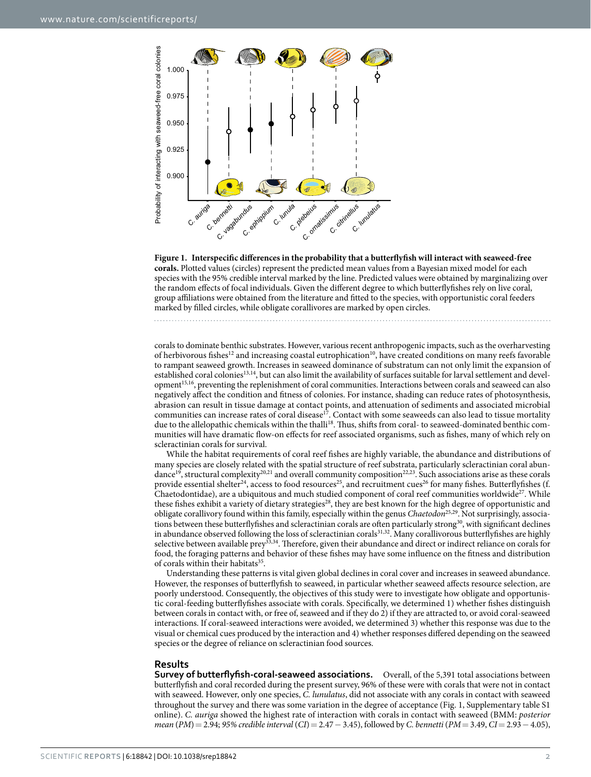

<span id="page-1-0"></span>**Figure 1. Interspecific differences in the probability that a butterflyfish will interact with seaweed-free corals.** Plotted values (circles) represent the predicted mean values from a Bayesian mixed model for each species with the 95% credible interval marked by the line. Predicted values were obtained by marginalizing over the random effects of focal individuals. Given the different degree to which butterflyfishes rely on live coral, group affiliations were obtained from the literature and fitted to the species, with opportunistic coral feeders marked by filled circles, while obligate corallivores are marked by open circles.

corals to dominate benthic substrates. However, various recent anthropogenic impacts, such as the overharvesting of herbivorous fishes<sup>12</sup> and increasing coastal eutrophication<sup>[10](#page-6-0)</sup>, have created conditions on many reefs favorable to rampant seaweed growth. Increases in seaweed dominance of substratum can not only limit the expansion of established coral colonies<sup>13,14</sup>, but can also limit the availability of surfaces suitable for larval settlement and developmen[t15,](#page-6-5)[16](#page-6-6), preventing the replenishment of coral communities. Interactions between corals and seaweed can also negatively affect the condition and fitness of colonies. For instance, shading can reduce rates of photosynthesis, abrasion can result in tissue damage at contact points, and attenuation of sediments and associated microbial communities can increase rates of coral disease<sup>[17](#page-6-7)</sup>. Contact with some seaweeds can also lead to tissue mortality due to the allelopathic chemicals within the thalli<sup>18</sup>. Thus, shifts from coral- to seaweed-dominated benthic communities will have dramatic flow-on effects for reef associated organisms, such as fishes, many of which rely on scleractinian corals for survival.

While the habitat requirements of coral reef fishes are highly variable, the abundance and distributions of many species are closely related with the spatial structure of reef substrata, particularly scleractinian coral abun-dance<sup>[19](#page-6-9)</sup>, structural complexity<sup>20,21</sup> and overall community composition<sup>[22](#page-6-12),[23](#page-6-13)</sup>. Such associations arise as these corals provide essential shelter<sup>[24](#page-6-14)</sup>, access to food resources<sup>25</sup>, and recruitment cues<sup>26</sup> for many fishes. Butterflyfishes (f. Chaetodontidae), are a ubiquitous and much studied component of coral reef communities worldwide<sup>[27](#page-6-17)</sup>. While these fishes exhibit a variety of dietary strategies<sup>[28](#page-6-18)</sup>, they are best known for the high degree of opportunistic and obligate corallivory found within this family, especially within the genus *Chaetodon*[25](#page-6-15),[29](#page-6-19). Not surprisingly, associations between these butterflyfishes and scleractinian corals are often particularly strong<sup>30</sup>, with significant declines in abundance observed following the loss of scleractinian corals<sup>31,32</sup>. Many corallivorous butterflyfishes are highly selective between available prey<sup>[33](#page-6-23),[34](#page-6-24)</sup>. Therefore, given their abundance and direct or indirect reliance on corals for food, the foraging patterns and behavior of these fishes may have some influence on the fitness and distribution of corals within their habitats<sup>35</sup>.

Understanding these patterns is vital given global declines in coral cover and increases in seaweed abundance. However, the responses of butterflyfish to seaweed, in particular whether seaweed affects resource selection, are poorly understood. Consequently, the objectives of this study were to investigate how obligate and opportunistic coral-feeding butterflyfishes associate with corals. Specifically, we determined 1) whether fishes distinguish between corals in contact with, or free of, seaweed and if they do 2) if they are attracted to, or avoid coral-seaweed interactions. If coral-seaweed interactions were avoided, we determined 3) whether this response was due to the visual or chemical cues produced by the interaction and 4) whether responses differed depending on the seaweed species or the degree of reliance on scleractinian food sources.

#### **Results**

**Survey of butterflyfish-coral-seaweed associations.** Overall, of the 5,391 total associations between butterflyfish and coral recorded during the present survey, 96% of these were with corals that were not in contact with seaweed. However, only one species, *C. lunulatus*, did not associate with any corals in contact with seaweed throughout the survey and there was some variation in the degree of acceptance [\(Fig. 1](#page-1-0), Supplementary table S1 online). *C. auriga* showed the highest rate of interaction with corals in contact with seaweed (BMM: *posterior mean* (*PM*)= 2.94; *95% credible interval* (*CI*)= 2.47− 3.45), followed by *C. bennetti* (*PM*= 3.49, *CI*= 2.93− 4.05),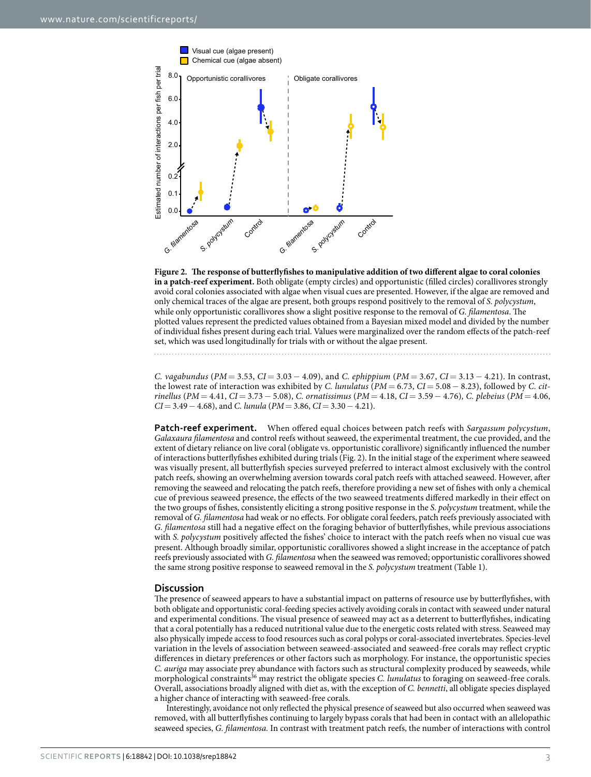

<span id="page-2-0"></span>**Figure 2. The response of butterflyfishes to manipulative addition of two different algae to coral colonies in a patch-reef experiment.** Both obligate (empty circles) and opportunistic (filled circles) corallivores strongly avoid coral colonies associated with algae when visual cues are presented. However, if the algae are removed and only chemical traces of the algae are present, both groups respond positively to the removal of *S. polycystum*, while only opportunistic corallivores show a slight positive response to the removal of *G. filamentosa*. The plotted values represent the predicted values obtained from a Bayesian mixed model and divided by the number of individual fishes present during each trial. Values were marginalized over the random effects of the patch-reef set, which was used longitudinally for trials with or without the algae present.

*C. vagabundus* (*PM* = 3.53, *CI* = 3.03 − 4.09), and *C. ephippium* (*PM* = 3.67, *CI* = 3.13 − 4.21). In contrast, the lowest rate of interaction was exhibited by *C. lunulatus* (*PM* = 6.73, *CI*= 5.08− 8.23), followed by *C. citrinellus* (*PM* = 4.41, *CI*= 3.73− 5.08), *C. ornatissimus* (*PM* = 4.18, *CI*= 3.59− 4.76)*, C. plebeius* (*PM* = 4.06, *CI*= 3.49− 4.68), and *C. lunula* (*PM*= 3.86, *CI*= 3.30− 4.21).

**Patch-reef experiment.** When offered equal choices between patch reefs with *Sargassum polycystum*, *Galaxaura filamentosa* and control reefs without seaweed, the experimental treatment, the cue provided, and the extent of dietary reliance on live coral (obligate vs. opportunistic corallivore) significantly influenced the number of interactions butterflyfishes exhibited during trials [\(Fig. 2\)](#page-2-0). In the initial stage of the experiment where seaweed was visually present, all butterflyfish species surveyed preferred to interact almost exclusively with the control patch reefs, showing an overwhelming aversion towards coral patch reefs with attached seaweed. However, after removing the seaweed and relocating the patch reefs, therefore providing a new set of fishes with only a chemical cue of previous seaweed presence, the effects of the two seaweed treatments differed markedly in their effect on the two groups of fishes, consistently eliciting a strong positive response in the *S. polycystum* treatment, while the removal of *G. filamentosa* had weak or no effects. For obligate coral feeders, patch reefs previously associated with *G. filamentosa* still had a negative effect on the foraging behavior of butterflyfishes, while previous associations with *S. polycystum* positively affected the fishes' choice to interact with the patch reefs when no visual cue was present. Although broadly similar, opportunistic corallivores showed a slight increase in the acceptance of patch reefs previously associated with *G. filamentosa* when the seaweed was removed; opportunistic corallivores showed the same strong positive response to seaweed removal in the *S. polycystum* treatment ([Table 1](#page-3-0)).

#### **Discussion**

The presence of seaweed appears to have a substantial impact on patterns of resource use by butterflyfishes, with both obligate and opportunistic coral-feeding species actively avoiding corals in contact with seaweed under natural and experimental conditions. The visual presence of seaweed may act as a deterrent to butterflyfishes, indicating that a coral potentially has a reduced nutritional value due to the energetic costs related with stress. Seaweed may also physically impede access to food resources such as coral polyps or coral-associated invertebrates. Species-level variation in the levels of association between seaweed-associated and seaweed-free corals may reflect cryptic differences in dietary preferences or other factors such as morphology. For instance, the opportunistic species *C. auriga* may associate prey abundance with factors such as structural complexity produced by seaweeds, while morphological constraints<sup>36</sup> may restrict the obligate species *C. lunulatus* to foraging on seaweed-free corals. Overall, associations broadly aligned with diet as, with the exception of *C. bennetti*, all obligate species displayed a higher chance of interacting with seaweed-free corals.

Interestingly, avoidance not only reflected the physical presence of seaweed but also occurred when seaweed was removed, with all butterflyfishes continuing to largely bypass corals that had been in contact with an allelopathic seaweed species, *G. filamentosa.* In contrast with treatment patch reefs, the number of interactions with control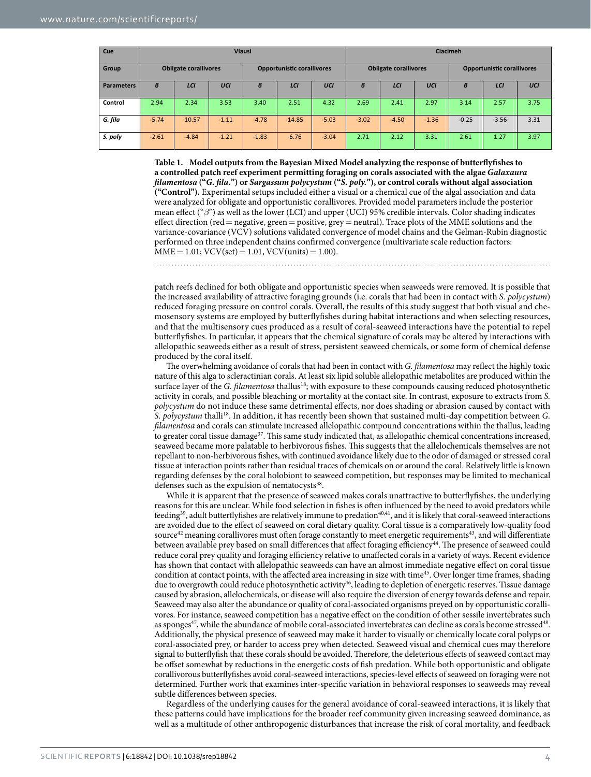<span id="page-3-0"></span>

| Cue               | <b>Vlausi</b>                |          |         |                                   |          |         | <b>Clacimeh</b>              |         |         |                                   |         |      |
|-------------------|------------------------------|----------|---------|-----------------------------------|----------|---------|------------------------------|---------|---------|-----------------------------------|---------|------|
| Group             | <b>Obligate corallivores</b> |          |         | <b>Opportunistic corallivores</b> |          |         | <b>Obligate corallivores</b> |         |         | <b>Opportunistic corallivores</b> |         |      |
| <b>Parameters</b> | $\boldsymbol{\beta}$         | LCI      | UCI     | $\boldsymbol{\beta}$              | LCI      | UCI     | $\boldsymbol{\beta}$         | LCI     | UCI     | в                                 | LCI     | UCI  |
| Control           | 2.94                         | 2.34     | 3.53    | 3.40                              | 2.51     | 4.32    | 2.69                         | 2.41    | 2.97    | 3.14                              | 2.57    | 3.75 |
| G. fila           | $-5.74$                      | $-10.57$ | $-1.11$ | $-4.78$                           | $-14.85$ | $-5.03$ | $-3.02$                      | $-4.50$ | $-1.36$ | $-0.25$                           | $-3.56$ | 3.31 |
| S. poly           | $-2.61$                      | $-4.84$  | $-1.21$ | $-1.83$                           | $-6.76$  | $-3.04$ | 2.71                         | 2.12    | 3.31    | 2.61                              | 1.27    | 3.97 |

**Table 1. Model outputs from the Bayesian Mixed Model analyzing the response of butterflyfishes to a controlled patch reef experiment permitting foraging on corals associated with the algae** *Galaxaura filamentosa* **("***G. fila.***") or** *Sargassum polycystum* **("***S. poly.***"), or control corals without algal association ("Control").** Experimental setups included either a visual or a chemical cue of the algal association and data were analyzed for obligate and opportunistic corallivores. Provided model parameters include the posterior mean effect ("*β*") as well as the lower (LCI) and upper (UCI) 95% credible intervals. Color shading indicates effect direction (red= negative, green= positive, grey= neutral). Trace plots of the MME solutions and the variance-covariance (VCV) solutions validated convergence of model chains and the Gelman-Rubin diagnostic performed on three independent chains confirmed convergence (multivariate scale reduction factors:  $MME = 1.01$ ;  $VCV(set) = 1.01$ ,  $VCV(units) = 1.00$ .

patch reefs declined for both obligate and opportunistic species when seaweeds were removed. It is possible that the increased availability of attractive foraging grounds (i.e. corals that had been in contact with *S. polycystum*) reduced foraging pressure on control corals. Overall, the results of this study suggest that both visual and chemosensory systems are employed by butterflyfishes during habitat interactions and when selecting resources, and that the multisensory cues produced as a result of coral-seaweed interactions have the potential to repel butterflyfishes. In particular, it appears that the chemical signature of corals may be altered by interactions with allelopathic seaweeds either as a result of stress, persistent seaweed chemicals, or some form of chemical defense produced by the coral itself.

The overwhelming avoidance of corals that had been in contact with *G. filamentosa* may reflect the highly toxic nature of this alga to scleractinian corals. At least six lipid soluble allelopathic metabolites are produced within the surface layer of the *G. filamentosa* thallus<sup>18</sup>; with exposure to these compounds causing reduced photosynthetic activity in corals, and possible bleaching or mortality at the contact site. In contrast, exposure to extracts from *S. polycystum* do not induce these same detrimental effects, nor does shading or abrasion caused by contact with *S. polycystum* thalli[18.](#page-6-8) In addition, it has recently been shown that sustained multi-day competition between *G. filamentosa* and corals can stimulate increased allelopathic compound concentrations within the thallus, leading to greater coral tissue damage<sup>[37](#page-6-27)</sup>. This same study indicated that, as allelopathic chemical concentrations increased, seaweed became more palatable to herbivorous fishes. This suggests that the allelochemicals themselves are not repellant to non-herbivorous fishes, with continued avoidance likely due to the odor of damaged or stressed coral tissue at interaction points rather than residual traces of chemicals on or around the coral. Relatively little is known regarding defenses by the coral holobiont to seaweed competition, but responses may be limited to mechanical defenses such as the expulsion of nematocysts<sup>[38](#page-6-28)</sup>.

While it is apparent that the presence of seaweed makes corals unattractive to butterflyfishes, the underlying reasons for this are unclear. While food selection in fishes is often influenced by the need to avoid predators while feeding<sup>[39](#page-6-29)</sup>, adult butterflyfishes are relatively immune to predation<sup>40,41</sup>, and it is likely that coral-seaweed interactions are avoided due to the effect of seaweed on coral dietary quality. Coral tissue is a comparatively low-quality food source<sup>[42](#page-6-32)</sup> meaning corallivores must often forage constantly to meet energetic requirements<sup>[43](#page-6-33)</sup>, and will differentiate between available prey based on small differences that affect foraging efficiency<sup>44</sup>. The presence of seaweed could reduce coral prey quality and foraging efficiency relative to unaffected corals in a variety of ways. Recent evidence has shown that contact with allelopathic seaweeds can have an almost immediate negative effect on coral tissue condition at contact points, with the affected area increasing in size with time<sup>45</sup>. Over longer time frames, shading due to overgrowth could reduce photosynthetic activity<sup>46</sup>, leading to depletion of energetic reserves. Tissue damage caused by abrasion, allelochemicals, or disease will also require the diversion of energy towards defense and repair. Seaweed may also alter the abundance or quality of coral-associated organisms preyed on by opportunistic corallivores. For instance, seaweed competition has a negative effect on the condition of other sessile invertebrates such as sponges<sup>[47](#page-6-37)</sup>, while the abundance of mobile coral-associated invertebrates can decline as corals become stressed<sup>48</sup>. Additionally, the physical presence of seaweed may make it harder to visually or chemically locate coral polyps or coral-associated prey, or harder to access prey when detected. Seaweed visual and chemical cues may therefore signal to butterflyfish that these corals should be avoided. Therefore, the deleterious effects of seaweed contact may be offset somewhat by reductions in the energetic costs of fish predation. While both opportunistic and obligate corallivorous butterflyfishes avoid coral-seaweed interactions, species-level effects of seaweed on foraging were not determined. Further work that examines inter-specific variation in behavioral responses to seaweeds may reveal subtle differences between species.

Regardless of the underlying causes for the general avoidance of coral-seaweed interactions, it is likely that these patterns could have implications for the broader reef community given increasing seaweed dominance, as well as a multitude of other anthropogenic disturbances that increase the risk of coral mortality, and feedback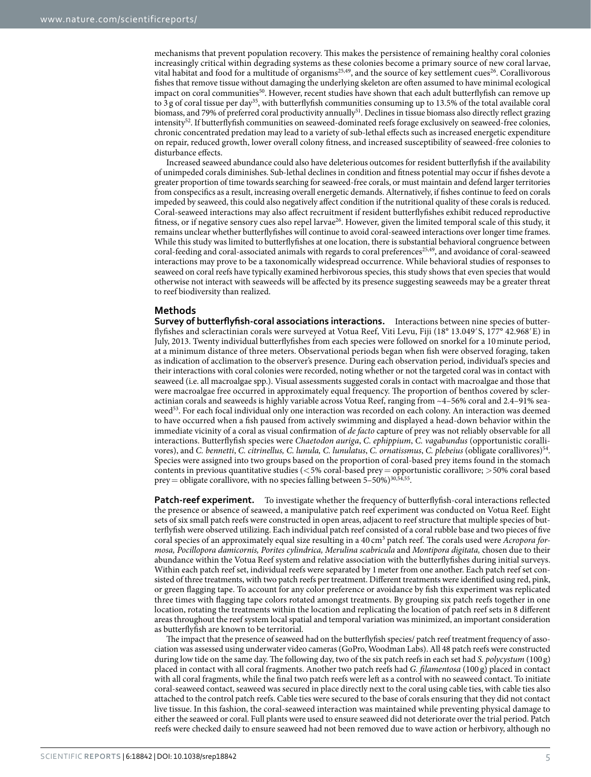mechanisms that prevent population recovery. This makes the persistence of remaining healthy coral colonies increasingly critical within degrading systems as these colonies become a primary source of new coral larvae, vital habitat and food for a multitude of organisms<sup>[25](#page-6-15),49</sup>, and the source of key settlement cues<sup>26</sup>. Corallivorous fishes that remove tissue without damaging the underlying skeleton are often assumed to have minimal ecological impact on coral communities<sup>50</sup>. However, recent studies have shown that each adult butterflyfish can remove up to 3 g of coral tissue per day<sup>35</sup>, with butterflyfish communities consuming up to 13.5% of the total available coral biomass, and 79% of preferred coral productivity annually<sup>51</sup>. Declines in tissue biomass also directly reflect grazing intensity<sup>[52](#page-6-42)</sup>. If butterflyfish communities on seaweed-dominated reefs forage exclusively on seaweed-free colonies, chronic concentrated predation may lead to a variety of sub-lethal effects such as increased energetic expenditure on repair, reduced growth, lower overall colony fitness, and increased susceptibility of seaweed-free colonies to disturbance effects.

Increased seaweed abundance could also have deleterious outcomes for resident butterflyfish if the availability of unimpeded corals diminishes. Sub-lethal declines in condition and fitness potential may occur if fishes devote a greater proportion of time towards searching for seaweed-free corals, or must maintain and defend larger territories from conspecifics as a result, increasing overall energetic demands. Alternatively, if fishes continue to feed on corals impeded by seaweed, this could also negatively affect condition if the nutritional quality of these corals is reduced. Coral-seaweed interactions may also affect recruitment if resident butterflyfishes exhibit reduced reproductive fitness, or if negative sensory cues also repel larva[e26.](#page-6-16) However, given the limited temporal scale of this study, it remains unclear whether butterflyfishes will continue to avoid coral-seaweed interactions over longer time frames. While this study was limited to butterflyfishes at one location, there is substantial behavioral congruence between coral-feeding and coral-associated animals with regards to coral preferences<sup>[25](#page-6-15)[,49](#page-6-39)</sup>, and avoidance of coral-seaweed interactions may prove to be a taxonomically widespread occurrence. While behavioral studies of responses to seaweed on coral reefs have typically examined herbivorous species, this study shows that even species that would otherwise not interact with seaweeds will be affected by its presence suggesting seaweeds may be a greater threat to reef biodiversity than realized.

### **Methods**

**Survey of butterflyfish-coral associations interactions.** Interactions between nine species of butterflyfishes and scleractinian corals were surveyed at Votua Reef, Viti Levu, Fiji (18° 13.049′S, 177° 42.968′E) in July, 2013. Twenty individual butterflyfishes from each species were followed on snorkel for a 10minute period, at a minimum distance of three meters. Observational periods began when fish were observed foraging, taken as indication of acclimation to the observer's presence. During each observation period, individual's species and their interactions with coral colonies were recorded, noting whether or not the targeted coral was in contact with seaweed (i.e. all macroalgae spp.). Visual assessments suggested corals in contact with macroalgae and those that were macroalgae free occurred in approximately equal frequency. The proportion of benthos covered by scleractinian corals and seaweeds is highly variable across Votua Reef, ranging from ~4–56% coral and 2.4–91% seaweed<sup>53</sup>. For each focal individual only one interaction was recorded on each colony. An interaction was deemed to have occurred when a fish paused from actively swimming and displayed a head-down behavior within the immediate vicinity of a coral as visual confirmation of *de facto* capture of prey was not reliably observable for all interactions. Butterflyfish species were *Chaetodon auriga*, *C. ephippium*, *C. vagabundus* (opportunistic corallivores), and *C. bennetti*, *C. citrinellus, C. lunula, C. lunulatus*, *C. ornatissmus*, *C. plebeius* (obligate corallivores)[54.](#page-6-44) Species were assigned into two groups based on the proportion of coral-based prey items found in the stomach contents in previous quantitative studies (<5% coral-based prey= opportunistic corallivore; >50% coral based prey = obligate corallivore, with no species falling between  $5-50\%$ )<sup>[30](#page-6-20)[,54](#page-6-44)[,55](#page-6-45)</sup>.

**Patch-reef experiment.** To investigate whether the frequency of butterflyfish-coral interactions reflected the presence or absence of seaweed, a manipulative patch reef experiment was conducted on Votua Reef. Eight sets of six small patch reefs were constructed in open areas, adjacent to reef structure that multiple species of butterflyfish were observed utilizing. Each individual patch reef consisted of a coral rubble base and two pieces of five coral species of an approximately equal size resulting in a 40 cm3 patch reef. The corals used were *Acropora formosa, Pocillopora damicornis, Porites cylindrica, Merulina scabricula* and *Montipora digitata,* chosen due to their abundance within the Votua Reef system and relative association with the butterflyfishes during initial surveys. Within each patch reef set, individual reefs were separated by 1meter from one another. Each patch reef set consisted of three treatments, with two patch reefs per treatment. Different treatments were identified using red, pink, or green flagging tape. To account for any color preference or avoidance by fish this experiment was replicated three times with flagging tape colors rotated amongst treatments. By grouping six patch reefs together in one location, rotating the treatments within the location and replicating the location of patch reef sets in 8 different areas throughout the reef system local spatial and temporal variation was minimized, an important consideration as butterflyfish are known to be territorial.

The impact that the presence of seaweed had on the butterflyfish species/ patch reef treatment frequency of association was assessed using underwater video cameras (GoPro, Woodman Labs). All 48 patch reefs were constructed during low tide on the same day. The following day, two of the six patch reefs in each set had *S. polycystum* (100 g) placed in contact with all coral fragments. Another two patch reefs had *G. filamentosa* (100 g) placed in contact with all coral fragments, while the final two patch reefs were left as a control with no seaweed contact. To initiate coral-seaweed contact, seaweed was secured in place directly next to the coral using cable ties, with cable ties also attached to the control patch reefs. Cable ties were secured to the base of corals ensuring that they did not contact live tissue. In this fashion, the coral-seaweed interaction was maintained while preventing physical damage to either the seaweed or coral. Full plants were used to ensure seaweed did not deteriorate over the trial period. Patch reefs were checked daily to ensure seaweed had not been removed due to wave action or herbivory, although no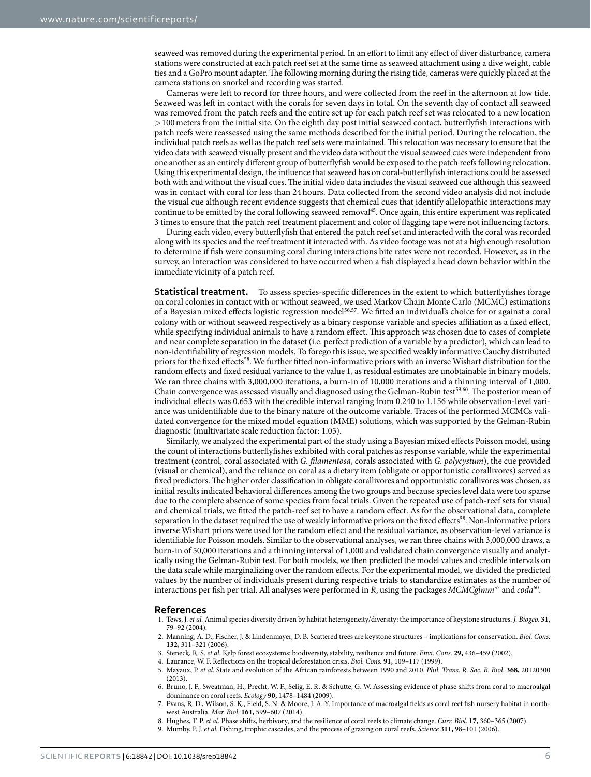seaweed was removed during the experimental period. In an effort to limit any effect of diver disturbance, camera stations were constructed at each patch reef set at the same time as seaweed attachment using a dive weight, cable ties and a GoPro mount adapter. The following morning during the rising tide, cameras were quickly placed at the camera stations on snorkel and recording was started.

Cameras were left to record for three hours, and were collected from the reef in the afternoon at low tide. Seaweed was left in contact with the corals for seven days in total. On the seventh day of contact all seaweed was removed from the patch reefs and the entire set up for each patch reef set was relocated to a new location >100meters from the initial site. On the eighth day post initial seaweed contact, butterflyfish interactions with patch reefs were reassessed using the same methods described for the initial period. During the relocation, the individual patch reefs as well as the patch reef sets were maintained. This relocation was necessary to ensure that the video data with seaweed visually present and the video data without the visual seaweed cues were independent from one another as an entirely different group of butterflyfish would be exposed to the patch reefs following relocation. Using this experimental design, the influence that seaweed has on coral-butterflyfish interactions could be assessed both with and without the visual cues. The initial video data includes the visual seaweed cue although this seaweed was in contact with coral for less than 24 hours. Data collected from the second video analysis did not include the visual cue although recent evidence suggests that chemical cues that identify allelopathic interactions may continue to be emitted by the coral following seaweed removal<sup>45</sup>. Once again, this entire experiment was replicated 3 times to ensure that the patch reef treatment placement and color of flagging tape were not influencing factors.

During each video, every butterflyfish that entered the patch reef set and interacted with the coral was recorded along with its species and the reef treatment it interacted with. As video footage was not at a high enough resolution to determine if fish were consuming coral during interactions bite rates were not recorded. However, as in the survey, an interaction was considered to have occurred when a fish displayed a head down behavior within the immediate vicinity of a patch reef.

**Statistical treatment.** To assess species-specific differences in the extent to which butterflyfishes forage on coral colonies in contact with or without seaweed, we used Markov Chain Monte Carlo (MCMC) estimations of a Bayesian mixed effects logistic regression model[56,](#page-6-46)[57.](#page-7-0) We fitted an individual's choice for or against a coral colony with or without seaweed respectively as a binary response variable and species affiliation as a fixed effect, while specifying individual animals to have a random effect. This approach was chosen due to cases of complete and near complete separation in the dataset (i.e. perfect prediction of a variable by a predictor), which can lead to non-identifiability of regression models. To forego this issue, we specified weakly informative Cauchy distributed priors for the fixed effects[58.](#page-7-1) We further fitted non-informative priors with an inverse Wishart distribution for the random effects and fixed residual variance to the value 1, as residual estimates are unobtainable in binary models. We ran three chains with 3,000,000 iterations, a burn-in of 10,000 iterations and a thinning interval of 1,000. Chain convergence was assessed visually and diagnosed using the Gelman-Rubin test<sup>59,60</sup>. The posterior mean of individual effects was 0.653 with the credible interval ranging from 0.240 to 1.156 while observation-level variance was unidentifiable due to the binary nature of the outcome variable. Traces of the performed MCMCs validated convergence for the mixed model equation (MME) solutions, which was supported by the Gelman-Rubin diagnostic (multivariate scale reduction factor: 1.05).

Similarly, we analyzed the experimental part of the study using a Bayesian mixed effects Poisson model, using the count of interactions butterflyfishes exhibited with coral patches as response variable, while the experimental treatment (control, coral associated with *G. filamentosa*, corals associated with *G. polycystum*), the cue provided (visual or chemical), and the reliance on coral as a dietary item (obligate or opportunistic corallivores) served as fixed predictors. The higher order classification in obligate corallivores and opportunistic corallivores was chosen, as initial results indicated behavioral differences among the two groups and because species level data were too sparse due to the complete absence of some species from focal trials. Given the repeated use of patch-reef sets for visual and chemical trials, we fitted the patch-reef set to have a random effect. As for the observational data, complete separation in the dataset required the use of weakly informative priors on the fixed effects<sup>58</sup>. Non-informative priors inverse Wishart priors were used for the random effect and the residual variance, as observation-level variance is identifiable for Poisson models. Similar to the observational analyses, we ran three chains with 3,000,000 draws, a burn-in of 50,000 iterations and a thinning interval of 1,000 and validated chain convergence visually and analytically using the Gelman-Rubin test. For both models, we then predicted the model values and credible intervals on the data scale while marginalizing over the random effects. For the experimental model, we divided the predicted values by the number of individuals present during respective trials to standardize estimates as the number of interactions per fish per trial. All analyses were performed in *R*, using the packages *MCMCglmm*<sup>57</sup> and *coda*<sup>[60](#page-7-3)</sup>.

#### **References**

- <span id="page-5-0"></span>1. Tews, J. *et al.* Animal species diversity driven by habitat heterogeneity/diversity: the importance of keystone structures. *J. Biogeo.* **31,** 79–92 (2004).
- <span id="page-5-1"></span>2. Manning, A. D., Fischer, J. & Lindenmayer, D. B. Scattered trees are keystone structures – implications for conservation. *Biol. Cons*. **132,** 311–321 (2006).
- <span id="page-5-2"></span>3. Steneck, R. S. *et al.* Kelp forest ecosystems: biodiversity, stability, resilience and future. *Envi. Cons*. **29,** 436–459 (2002).
- <span id="page-5-4"></span><span id="page-5-3"></span>4. Laurance, W. F. Reflections on the tropical deforestation crisis. *Biol. Cons.* **91,** 109–117 (1999).
- 5. Mayaux, P. *et al.* State and evolution of the African rainforests between 1990 and 2010. *Phil. Trans. R. Soc. B. Biol.* **368,** 20120300 (2013).
- <span id="page-5-5"></span>6. Bruno, J. F., Sweatman, H., Precht, W. F., Selig, E. R. & Schutte, G. W. Assessing evidence of phase shifts from coral to macroalgal dominance on coral reefs. *Ecology* **90,** 1478–1484 (2009).
- <span id="page-5-6"></span>7. Evans, R. D., Wilson, S. K., Field, S. N. & Moore, J. A. Y. Importance of macroalgal fields as coral reef fish nursery habitat in northwest Australia. *Mar. Biol.* **161,** 599–607 (2014).
- <span id="page-5-7"></span>8. Hughes, T. P. *et al.* Phase shifts, herbivory, and the resilience of coral reefs to climate change. *Curr. Biol.* **17,** 360–365 (2007).
- <span id="page-5-8"></span>9. Mumby, P. J. *et al.* Fishing, trophic cascades, and the process of grazing on coral reefs. *Science* **311,** 98–101 (2006).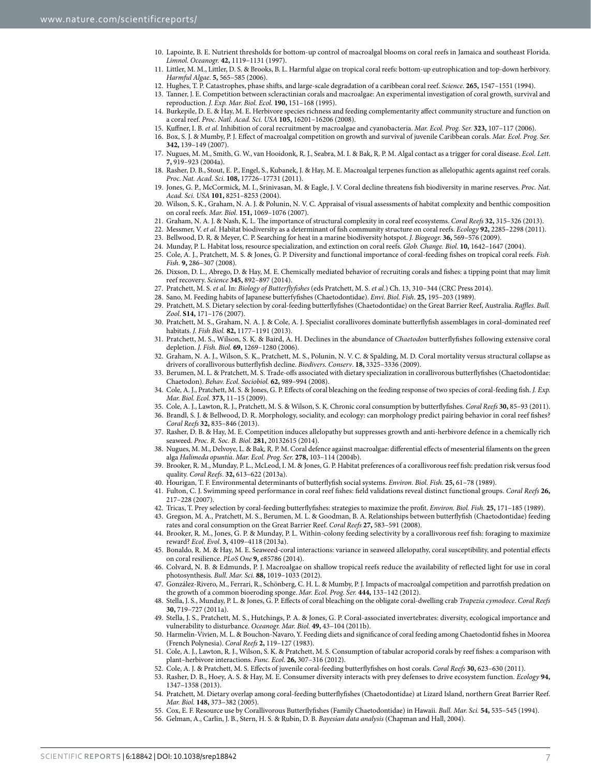- <span id="page-6-0"></span>10. Lapointe, B. E. Nutrient thresholds for bottom-up control of macroalgal blooms on coral reefs in Jamaica and southeast Florida. *Limnol. Oceanogr.* **42,** 1119–1131 (1997).
- <span id="page-6-1"></span>11. Littler, M. M., Littler, D. S. & Brooks, B. L. Harmful algae on tropical coral reefs: bottom-up eutrophication and top-down herbivory. *Harmful Algae*. **5,** 565–585 (2006).
- 12. Hughes, T. P. Catastrophes, phase shifts, and large-scale degradation of a caribbean coral reef. *Science*. **265,** 1547–1551 (1994).

<span id="page-6-3"></span><span id="page-6-2"></span>13. Tanner, J. E. Competition between scleractinian corals and macroalgae: An experimental investigation of coral growth, survival and reproduction. *J. Exp. Mar. Biol. Ecol.* **190,** 151–168 (1995).

- <span id="page-6-4"></span>14. Burkepile, D. E. & Hay, M. E. Herbivore species richness and feeding complementarity affect community structure and function on a coral reef. *Proc. Natl. Acad. Sci. USA* **105,** 16201–16206 (2008).
- <span id="page-6-5"></span>15. Kuffner, I. B. *et al.* Inhibition of coral recruitment by macroalgae and cyanobacteria. *Mar. Ecol. Prog. Ser.* **323,** 107–117 (2006). 16. Box, S. J. & Mumby, P. J. Effect of macroalgal competition on growth and survival of juvenile Caribbean corals. *Mar. Ecol. Prog. Ser.*
- <span id="page-6-7"></span><span id="page-6-6"></span>**342,** 139–149 (2007).
- 17. Nugues, M. M., Smith, G. W., van Hooidonk, R. J., Seabra, M. I. & Bak, R. P. M. Algal contact as a trigger for coral disease. *Ecol. Lett.* **7,** 919–923 (2004a).
- <span id="page-6-8"></span>18. Rasher, D. B., Stout, E. P., Engel, S., Kubanek, J. & Hay, M. E. Macroalgal terpenes function as allelopathic agents against reef corals. *Proc. Nat. Acad. Sci*. **108,** 17726–17731 (2011).
- <span id="page-6-9"></span>19. Jones, G. P., McCormick, M. I., Srinivasan, M. & Eagle, J. V. Coral decline threatens fish biodiversity in marine reserves. *Proc. Nat. Acad. Sci. USA* **101,** 8251–8253 (2004).
- <span id="page-6-10"></span>20. Wilson, S. K., Graham, N. A. J. & Polunin, N. V. C. Appraisal of visual assessments of habitat complexity and benthic composition on coral reefs. *Mar. Biol.* **151,** 1069–1076 (2007).
- 21. Graham, N. A. J. & Nash, K. L. The importance of structural complexity in coral reef ecosystems. *Coral Reefs* **32,** 315–326 (2013).
- <span id="page-6-12"></span><span id="page-6-11"></span>22. Messmer, V. *et al.* Habitat biodiversity as a determinant of fish community structure on coral reefs. *Ecology* **92,** 2285–2298 (2011).
- <span id="page-6-13"></span>23. Bellwood, D. R. & Meyer, C. P. Searching for heat in a marine biodiversity hotspot. *J. Biogeogr.* **36,** 569–576 (2009).
- <span id="page-6-15"></span><span id="page-6-14"></span>24. Munday, P. L. Habitat loss, resource specialization, and extinction on coral reefs. *Glob. Change. Biol.* **10,** 1642–1647 (2004).
- 25. Cole, A. J., Pratchett, M. S. & Jones, G. P. Diversity and functional importance of coral-feeding fishes on tropical coral reefs. *Fish. Fish.* **9,** 286–307 (2008).
- <span id="page-6-16"></span>26. Dixson, D. L., Abrego, D. & Hay, M. E. Chemically mediated behavior of recruiting corals and fishes: a tipping point that may limit reef recovery. *Science* **345,** 892–897 (2014).
- <span id="page-6-17"></span>27. Pratchett, M. S. *et al.* In: *Biology of Butterflyfishes* (eds Pratchett, M. S. *et al.*) Ch. 13, 310–344 (CRC Press 2014).
- <span id="page-6-18"></span>28. Sano, M. Feeding habits of Japanese butterfyfishes (Chaetodontidae). *Envi. Biol. Fish*. **25,** 195–203 (1989).
- <span id="page-6-19"></span>29. Pratchett, M. S. Dietary selection by coral-feeding butterflyfishes (Chaetodontidae) on the Great Barrier Reef, Australia. *Raffles. Bull. Zool*. **S14,** 171–176 (2007).
- <span id="page-6-20"></span>30. Pratchett, M. S., Graham, N. A. J. & Cole, A. J. Specialist corallivores dominate butterflyfish assemblages in coral-dominated reef habitats. *J. Fish Biol.* **82,** 1177–1191 (2013).
- <span id="page-6-21"></span>31. Pratchett, M. S., Wilson, S. K. & Baird, A. H. Declines in the abundance of *Chaetodon* butterflyfishes following extensive coral depletion. *J. Fish. Biol.* **69,** 1269–1280 (2006).
- <span id="page-6-22"></span>32. Graham, N. A. J., Wilson, S. K., Pratchett, M. S., Polunin, N. V. C. & Spalding, M. D. Coral mortality versus structural collapse as drivers of corallivorous butterflyfish decline. *Biodivers. Conserv*. **18,** 3325–3336 (2009).
- <span id="page-6-23"></span>33. Berumen, M. L. & Pratchett, M. S. Trade-offs associated with dietary specialization in corallivorous butterflyfishes (Chaetodontidae: Chaetodon). *Behav. Ecol. Sociobiol.* **62,** 989–994 (2008).
- <span id="page-6-24"></span>34. Cole, A. J., Pratchett, M. S. & Jones, G. P. Effects of coral bleaching on the feeding response of two species of coral-feeding fish. *J. Exp. Mar. Biol. Ecol.* **373,** 11–15 (2009).
- <span id="page-6-25"></span>35. Cole, A. J., Lawton, R. J., Pratchett, M. S. & Wilson, S. K. Chronic coral consumption by butterflyfishes. *Coral Reefs* **30,** 85–93 (2011).
- <span id="page-6-26"></span>36. Brandl, S. J. & Bellwood, D. R. Morphology, sociality, and ecology: can morphology predict pairing behavior in coral reef fishes? *Coral Reefs* **32,** 835–846 (2013).
- <span id="page-6-27"></span>37. Rasher, D. B. & Hay, M. E. Competition induces allelopathy but suppresses growth and anti-herbivore defence in a chemically rich seaweed. *Proc. R. Soc. B. Biol*. **281,** 20132615 (2014).
- <span id="page-6-28"></span>38. Nugues, M. M., Delvoye, L. & Bak, R. P. M. Coral defence against macroalgae: differential effects of mesenterial filaments on the green alga *Halimeda opuntia*. *Mar. Ecol. Prog. Ser.* **278,** 103–114 (2004b).
- <span id="page-6-29"></span>39. Brooker, R. M., Munday, P. L., McLeod, I. M. & Jones, G. P. Habitat preferences of a corallivorous reef fish: predation risk versus food quality. *Coral Reefs*. **32,** 613–622 (2013a).
- <span id="page-6-30"></span>40. Hourigan, T. F. Environmental determinants of butterflyfish social systems. *Environ. Biol. Fish.* **25,** 61–78 (1989).
- <span id="page-6-31"></span>41. Fulton, C. J. Swimming speed performance in coral reef fishes: field validations reveal distinct functional groups. *Coral Reefs* **26,** 217–228 (2007).
- <span id="page-6-32"></span>42. Tricas, T. Prey selection by coral-feeding butterflyfishes: strategies to maximize the profit. *Environ. Biol. Fish.* **25,** 171–185 (1989).
- <span id="page-6-33"></span>43. Gregson, M. A., Pratchett, M. S., Berumen, M. L. & Goodman, B. A. Relationships between butterflyfish (Chaetodontidae) feeding rates and coral consumption on the Great Barrier Reef. *Coral Reefs* **27,** 583–591 (2008).
- <span id="page-6-34"></span>44. Brooker, R. M., Jones, G. P. & Munday, P. L. Within-colony feeding selectivity by a corallivorous reef fish: foraging to maximize reward? *Ecol. Evol*. **3,** 4109–4118 (2013a).
- <span id="page-6-35"></span>45. Bonaldo, R. M. & Hay, M. E. Seaweed-coral interactions: variance in seaweed allelopathy, coral susceptibility, and potential effects on coral resilience. *PLoS One* **9,** e85786 (2014).
- <span id="page-6-36"></span>46. Colvard, N. B. & Edmunds, P. J. Macroalgae on shallow tropical reefs reduce the availability of reflected light for use in coral photosynthesis. *Bull. Mar. Sci.* **88,** 1019–1033 (2012).
- <span id="page-6-37"></span>47. González-Rivero, M., Ferrari, R., Schönberg, C. H. L. & Mumby, P. J. Impacts of macroalgal competition and parrotfish predation on the growth of a common bioeroding sponge. *Mar. Ecol. Prog. Ser.* **444,** 133–142 (2012).
- <span id="page-6-38"></span>48. Stella, J. S., Munday, P. L. & Jones, G. P. Effects of coral bleaching on the obligate coral-dwelling crab *Trapezia cymodoce*. *Coral Reefs* **30,** 719–727 (2011a).
- <span id="page-6-39"></span>49. Stella, J. S., Pratchett, M. S., Hutchings, P. A. & Jones, G. P. Coral-associated invertebrates: diversity, ecological importance and vulnerability to disturbance. *Oceanogr. Mar. Biol.* **49,** 43–104 (2011b).
- <span id="page-6-40"></span>50. Harmelin-Vivien, M. L. & Bouchon-Navaro, Y. Feeding diets and significance of coral feeding among Chaetodontid fishes in Moorea (French Polynesia). *Coral Reefs* **2,** 119–127 (1983).
- <span id="page-6-41"></span>51. Cole, A. J., Lawton, R. J., Wilson, S. K. & Pratchett, M. S. Consumption of tabular acroporid corals by reef fishes: a comparison with plant–herbivore interactions. *Func. Ecol*. **26,** 307–316 (2012).
- <span id="page-6-42"></span>52. Cole, A. J. & Pratchett, M. S. Effects of juvenile coral-feeding butterflyfishes on host corals. *Coral Reefs* **30,** 623–630 (2011).
- <span id="page-6-43"></span>53. Rasher, D. B., Hoey, A. S. & Hay, M. E. Consumer diversity interacts with prey defenses to drive ecosystem function. *Ecology* **94,** 1347–1358 (2013).
- <span id="page-6-44"></span>54. Pratchett, M. Dietary overlap among coral-feeding butterflyfishes (Chaetodontidae) at Lizard Island, northern Great Barrier Reef. *Mar. Biol.* **148,** 373–382 (2005).
- 55. Cox, E. F. Resource use by Corallivorous Butterflyfishes (Family Chaetodontidae) in Hawaii. *Bull. Mar. Sci.* **54,** 535–545 (1994).
- <span id="page-6-46"></span><span id="page-6-45"></span>56. Gelman, A., Carlin, J. B., Stern, H. S. & Rubin, D. B. *Bayesian data analysis* (Chapman and Hall, 2004).